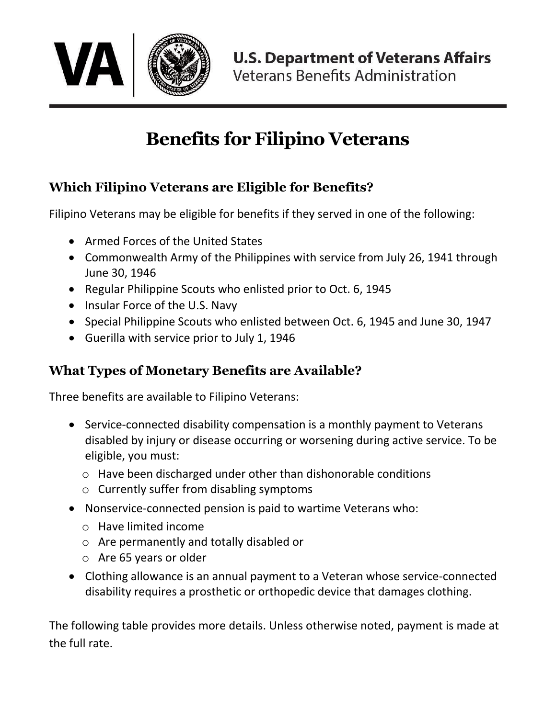

## **Benefits for Filipino Veterans**

## **Which Filipino Veterans are Eligible for Benefits?**

Filipino Veterans may be eligible for benefits if they served in one of the following:

- Armed Forces of the United States
- Commonwealth Army of the Philippines with service from July 26, 1941 through June 30, 1946
- Regular Philippine Scouts who enlisted prior to Oct. 6, 1945
- Insular Force of the U.S. Navy
- Special Philippine Scouts who enlisted between Oct. 6, 1945 and June 30, 1947
- Guerilla with service prior to July 1, 1946

## **What Types of Monetary Benefits are Available?**

Three benefits are available to Filipino Veterans:

- Service-connected disability compensation is a monthly payment to Veterans disabled by injury or disease occurring or worsening during active service. To be eligible, you must:
	- o Have been discharged under other than dishonorable conditions
	- o Currently suffer from disabling symptoms
- Nonservice-connected pension is paid to wartime Veterans who:
	- o Have limited income
	- o Are permanently and totally disabled or
	- o Are 65 years or older
- Clothing allowance is an annual payment to a Veteran whose service-connected disability requires a prosthetic or orthopedic device that damages clothing.

The following table provides more details. Unless otherwise noted, payment is made at the full rate.